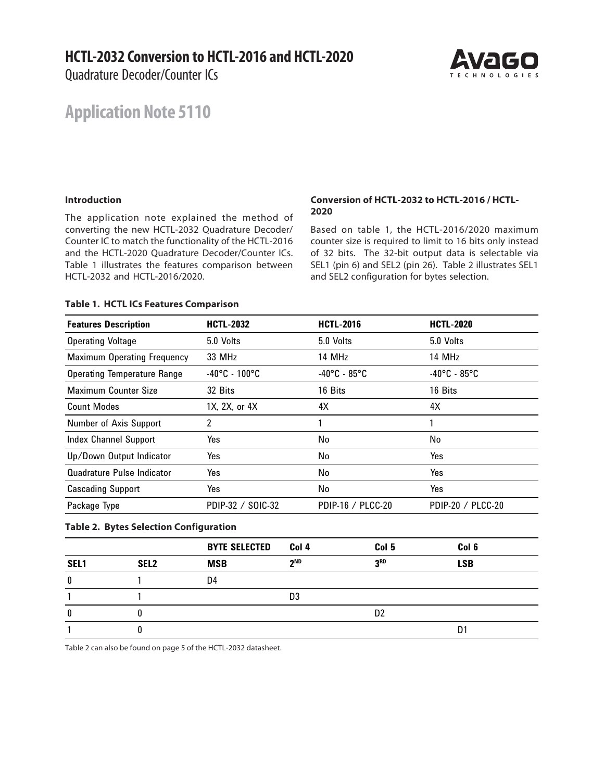### **HCTL-2032 Conversion to HCTL-2016 and HCTL-2020**

Quadrature Decoder/Counter ICs

# AVAICO

## **Application Note 5110**

#### **Introduction**

The application note explained the method of converting the new HCTL-2032 Quadrature Decoder/ Counter IC to match the functionality of the HCTL-2016 and the HCTL-2020 Quadrature Decoder/Counter ICs. Table 1 illustrates the features comparison between HCTL-2032 and HCTL-2016/2020.

#### **Conversion of HCTL-2032 to HCTL-2016 / HCTL-2020**

Based on table 1, the HCTL-2016/2020 maximum counter size is required to limit to 16 bits only instead of 32 bits. The 32-bit output data is selectable via SEL1 (pin 6) and SEL2 (pin 26). Table 2 illustrates SEL1 and SEL2 configuration for bytes selection.

#### **Table 1. HCTL ICs Features Comparison**

| <b>Features Description</b>        | <b>HCTL-2032</b>                   | <b>HCTL-2016</b>                  | <b>HCTL-2020</b>                  |
|------------------------------------|------------------------------------|-----------------------------------|-----------------------------------|
| <b>Operating Voltage</b>           | 5.0 Volts                          | 5.0 Volts                         | 5.0 Volts                         |
| <b>Maximum Operating Frequency</b> | 33 MHz                             | 14 MHz                            | 14 MHz                            |
| <b>Operating Temperature Range</b> | $-40^{\circ}$ C - 100 $^{\circ}$ C | $-40^{\circ}$ C - 85 $^{\circ}$ C | $-40^{\circ}$ C - 85 $^{\circ}$ C |
| Maximum Counter Size               | 32 Bits                            | 16 Bits                           | 16 Bits                           |
| <b>Count Modes</b>                 | 1X, 2X, or 4X                      | 4X                                | 4X                                |
| Number of Axis Support             | 2                                  |                                   |                                   |
| Index Channel Support              | Yes                                | No                                | No                                |
| Up/Down Output Indicator           | Yes                                | No                                | Yes                               |
| Quadrature Pulse Indicator         | Yes                                | No                                | Yes                               |
| <b>Cascading Support</b>           | Yes                                | No                                | Yes                               |
| Package Type                       | PDIP-32 / SOIC-32                  | PDIP-16 / PLCC-20                 | PDIP-20 / PLCC-20                 |

#### **Table 2. Bytes Selection Configuration**

|      |                  | <b>BYTE SELECTED</b> | Col 4           | Col 5          | Col 6      |
|------|------------------|----------------------|-----------------|----------------|------------|
| SEL1 | SEL <sub>2</sub> | <b>MSB</b>           | 2 <sub>ND</sub> | <b>J</b> ED    | <b>LSB</b> |
| 0    |                  | D4                   |                 |                |            |
|      |                  |                      | D3              |                |            |
| 0    |                  |                      |                 | D <sub>2</sub> |            |
|      |                  |                      |                 |                | D          |

Table 2 can also be found on page 5 of the HCTL-2032 datasheet.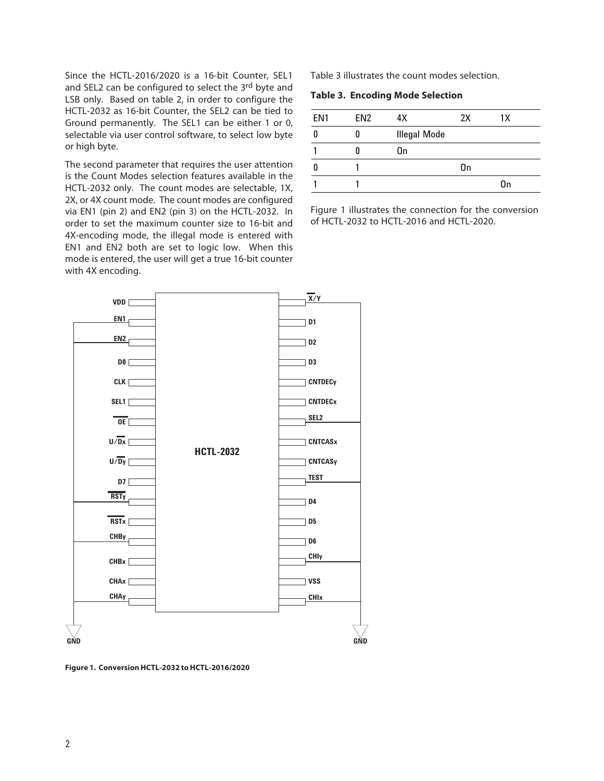Since the HCTL-2016/2020 is a 16-bit Counter, SEL1 and SEL2 can be configured to select the 3rd byte and LSB only. Based on table 2, in order to configure the HCTL-2032 as 16-bit Counter, the SEL2 can be tied to Ground permanently. The SEL1 can be either 1 or 0, selectable via user control software, to select low byte or high byte.

The second parameter that requires the user attention is the Count Modes selection features available in the HCTL-2032 only. The count modes are selectable, 1X, 2X, or 4X count mode. The count modes are configured via EN1 (pin 2) and EN2 (pin 3) on the HCTL-2032. In order to set the maximum counter size to 16-bit and 4X-encoding mode, the illegal mode is entered with EN1 and EN2 both are set to logic low. When this mode is entered, the user will get a true 16-bit counter with 4X encoding.

Table 3 illustrates the count modes selection.

**Table 3. Encoding Mode Selection**

| FN <sub>1</sub> | FN <sub>2</sub> | 4Х                  | 2X | 1X |
|-----------------|-----------------|---------------------|----|----|
|                 |                 | <b>Illegal Mode</b> |    |    |
|                 |                 | On                  |    |    |
|                 |                 |                     | 0n |    |
|                 |                 |                     |    | On |

Figure 1 illustrates the connection for the conversion of HCTL-2032 to HCTL-2016 and HCTL-2020.



**Figure 1. Conversion HCTL-2032 to HCTL-2016/2020**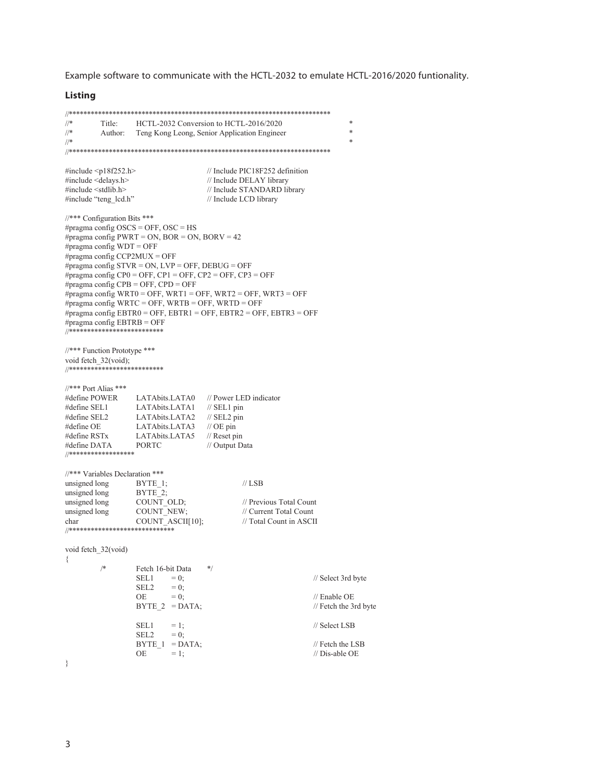Example software to communicate with the HCTL-2032 to emulate HCTL-2016/2020 funtionality.

#### **Listing**

```
/\!/\astTitle:
                  HCTL-2032 Conversion to HCTL-2016/2020
                                                                        \ast\frac{1}{\sqrt{2}}\astAuthor:
                 Teng Kong Leong, Senior Application Engineer
\frac{1}{2}\ast#include <p18f252.h>
                                   // Include PIC18F252 definition
#include <delays.h>
                                   // Include DELAY library
#include <stdlib.h>
                                   // Include STANDARD library
#include "teng_lcd.h"
                                   // Include LCD library
//*** Configuration Bits ***
#pragma config OSCS = OFF, OSC = HS#pragma config PWRT = ON, BOR = ON, BORV = 42
#pragma config WDT = OFF
#pragma config CCP2MUX = OFF
#pragma config STVR = ON, LVP = OFF, DEBUG = OFF#pragma config CP0 = OFF, CP1 = OFF, CP2 = OFF, CP3 = OFF
#pragma config CPB = OFF, CPD = OFF
#pragma config WRT0 = OFF, WRT1 = OFF, WRT2 = OFF, WRT3 = OFF
#pragma config WRTC = OFF, WRTB = OFF, WRTD = OFF
#pragma config EBTR0 = OFF, EBTR1 = OFF, EBTR2 = OFF, EBTR3 = OFF
#pragma config EBTRB = OFF//*** Function Prototype ***
void fetch_32(void);
//**************************
//*** Port Alias ***
#define POWER
                 LATAbits.LATA0 // Power LED indicator
#define SEL1
                 LATAbits.LATA1 // SEL1 pin
#define SEL2
                 LATAbits.LATA2 // SEL2 pin<br>LATAbits.LATA3 // OE pin
#define OE
#define RSTx
                 LATAbits.LATA5 // Reset pin
#define DATA
                 PORTC
                                   // Output Data
//******************
//*** Variables Declaration ***
                                             \mathcal{U} LSB
unsigned long
                  BYTE_1;BYTE<sub>2;</sub>
unsigned long
unsigned long
                  COUNT OLD;
                                             // Previous Total Count
                                            // Current Total Count
                  COUNT_NEW;
unsigned long
char
                  COUNT ASCII[10];
                                            // Total Count in ASCII
void fetch 32(void)
₹
         /*Fetch 16-bit Data
                                    *SEL1
                          = 0:
                                                               // Select 3rd byte
                  SEL2
                           = 0:
                  OE
                                                               // Enable OE
                          = 0;BYTE 2 = DATA;
                                                              // Fetch the 3rd byte
                                                               // Select LSB
                  SEL1
                          = 1;
                  SEL2
                           = 0;
                  BYTE_1 = DATA;// Fetch the LSB
                  OE
                          = 1;
                                                               // Dis-able OE
₹
```